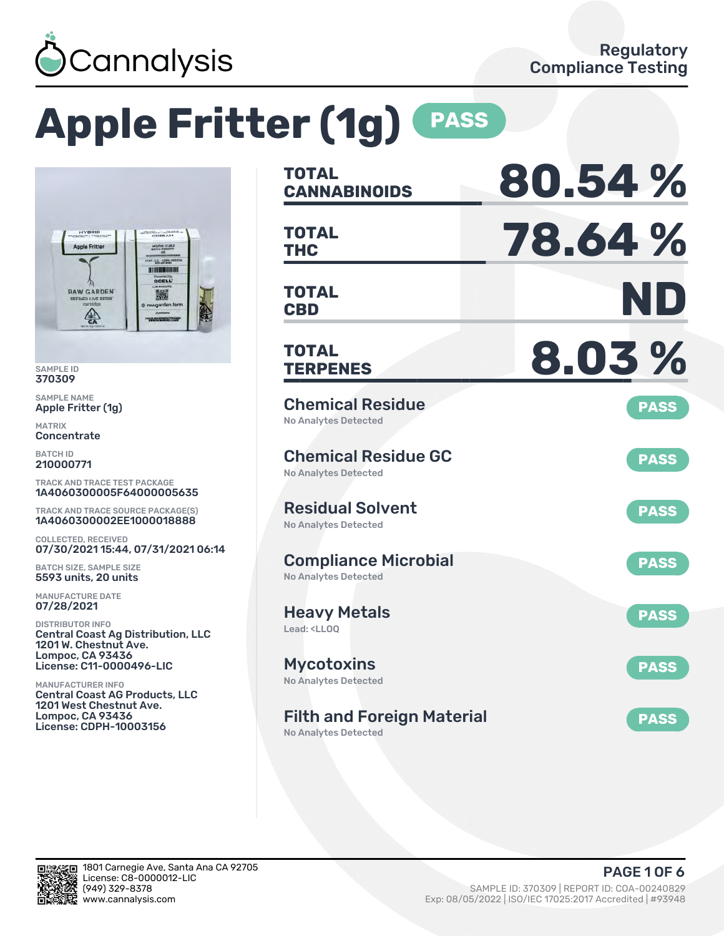

# **Apple Fritter (1g) PASS**



SAMPLE ID 370309

SAMPLE NAME Apple Fritter (1g)

MATRIX **Concentrate** 

BATCH ID 210000771

TRACK AND TRACE TEST PACKAGE 1A4060300005F64000005635

TRACK AND TRACE SOURCE PACKAGE(S) 1A4060300002EE1000018888

COLLECTED, RECEIVED 07/30/2021 15:44, 07/31/2021 06:14

BATCH SIZE, SAMPLE SIZE 5593 units, 20 units

MANUFACTURE DATE 07/28/2021

DISTRIBUTOR INFO Central Coast Ag Distribution, LLC 1201 W. Chestnut Ave. Lompoc, CA 93436 License: C11-0000496-LIC

MANUFACTURER INFO Central Coast AG Products, LLC 1201 West Chestnut Ave. Lompoc, CA 93436 License: CDPH-10003156

| <b>TOTAL</b><br><b>CANNABINOIDS</b>                                    | 80.54%      |
|------------------------------------------------------------------------|-------------|
| <b>TOTAL</b><br><b>THC</b>                                             | 78.64%      |
| <b>TOTAL</b><br><b>CBD</b>                                             | ND          |
| <b>TOTAL</b><br><b>TERPENES</b>                                        | 8.03%       |
| <b>Chemical Residue</b><br><b>No Analytes Detected</b>                 | <b>PASS</b> |
| <b>Chemical Residue GC</b><br><b>No Analytes Detected</b>              | <b>PASS</b> |
| <b>Residual Solvent</b><br>No Analytes Detected                        | <b>PASS</b> |
| <b>Compliance Microbial</b><br><b>No Analytes Detected</b>             | <b>PASS</b> |
| <b>Heavy Metals</b><br>Lead: <lloq< td=""><td><b>PASS</b></td></lloq<> | <b>PASS</b> |
| <b>Mycotoxins</b><br>No Analytes Detected                              | <b>PASS</b> |
| <b>Filth and Foreign Material</b><br><b>No Analytes Detected</b>       | <b>PASS</b> |

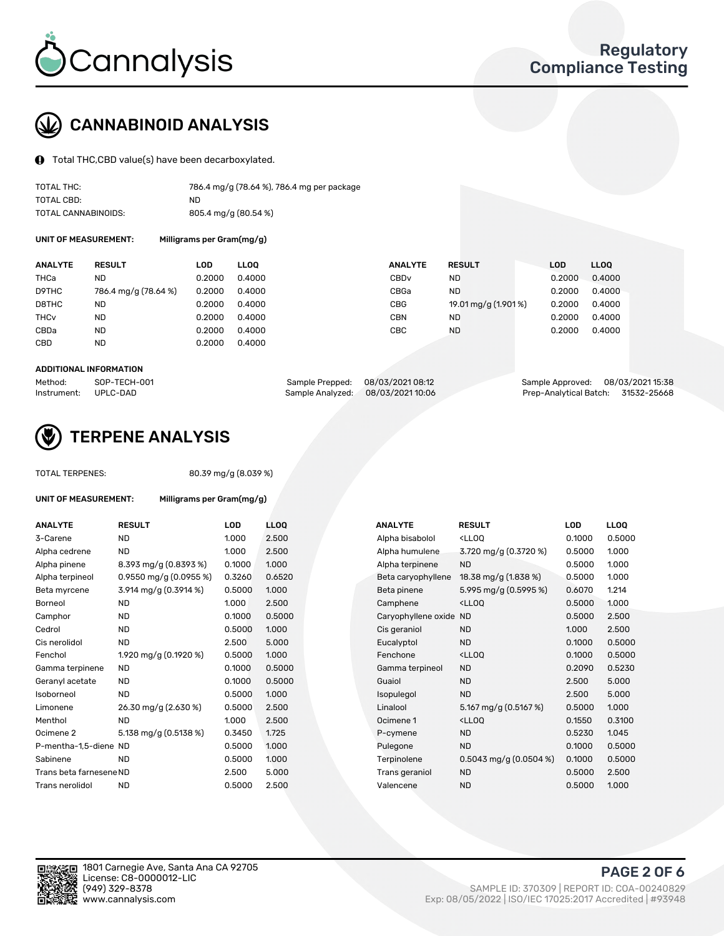

## CANNABINOID ANALYSIS

Total THC,CBD value(s) have been decarboxylated.

| TOTAL THC:          | 786.4 mg/g (78.64 %), 786.4 mg per package |
|---------------------|--------------------------------------------|
| TOTAL CBD:          | ND                                         |
| TOTAL CANNABINOIDS: | 805.4 mg/g (80.54 %)                       |

UNIT OF MEASUREMENT: Milligrams per Gram(mg/g)

| <b>ANALYTE</b>         | <b>RESULT</b>        | LOD    | <b>LLOO</b> | <b>ANALYTE</b>   | <b>RESULT</b>        | <b>LOD</b> | <b>LLOO</b> |
|------------------------|----------------------|--------|-------------|------------------|----------------------|------------|-------------|
| THCa                   | ND                   | 0.2000 | 0.4000      | CBD <sub>v</sub> | <b>ND</b>            | 0.2000     | 0.4000      |
| D9THC                  | 786.4 mg/g (78.64 %) | 0.2000 | 0.4000      | CBGa             | <b>ND</b>            | 0.2000     | 0.4000      |
| D8THC                  | <b>ND</b>            | 0.2000 | 0.4000      | <b>CBG</b>       | 19.01 mg/g (1.901 %) | 0.2000     | 0.4000      |
| <b>THC<sub>v</sub></b> | <b>ND</b>            | 0.2000 | 0.4000      | <b>CBN</b>       | <b>ND</b>            | 0.2000     | 0.4000      |
| CBDa                   | <b>ND</b>            | 0.2000 | 0.4000      | CBC              | <b>ND</b>            | 0.2000     | 0.4000      |
| CBD                    | ND                   | 0.2000 | 0.4000      |                  |                      |            |             |
|                        |                      |        |             |                  |                      |            |             |

#### ADDITIONAL INFORMATION

| Method:              | SOP-TECH-001 | Sample Prepped: 08/03/2021 08:12  | Sample Approved: 08/03/2021 15:38  |  |
|----------------------|--------------|-----------------------------------|------------------------------------|--|
| Instrument: UPLC-DAD |              | Sample Analyzed: 08/03/2021 10:06 | Prep-Analytical Batch: 31532-25668 |  |



## TERPENE ANALYSIS

TOTAL TERPENES: 80.39 mg/g (8.039 %)

| UNIT OF MEASUREMENT:    | Milligrams per Gram(mg/g) |        |                 |
|-------------------------|---------------------------|--------|-----------------|
| <b>ANALYTE</b>          | <b>RESULT</b>             | LOD    | LL <sub>O</sub> |
| 3-Carene                | <b>ND</b>                 | 1.000  | 2.50            |
| Alpha cedrene           | <b>ND</b>                 | 1.000  | 2.50            |
| Alpha pinene            | 8.393 mg/g (0.8393 %)     | 0.1000 | 1.00            |
| Alpha terpineol         | 0.9550 mg/g $(0.0955\%)$  | 0.3260 | 0.65            |
| Beta myrcene            | 3.914 mg/g (0.3914 %)     | 0.5000 | 1.00            |
| Borneol                 | <b>ND</b>                 | 1.000  | 2.50            |
| Camphor                 | <b>ND</b>                 | 0.1000 | 0.50            |
| Cedrol                  | <b>ND</b>                 | 0.5000 | 1.00            |
| Cis nerolidol           | <b>ND</b>                 | 2.500  | 5.00            |
| Fenchol                 | 1.920 mg/g (0.1920 %)     | 0.5000 | 1.00            |
| Gamma terpinene         | <b>ND</b>                 | 0.1000 | 0.50            |
| Geranyl acetate         | <b>ND</b>                 | 0.1000 | 0.50            |
| Isoborneol              | <b>ND</b>                 | 0.5000 | 1.00            |
| Limonene                | 26.30 mg/g (2.630 %)      | 0.5000 | 2.50            |
| Menthol                 | <b>ND</b>                 | 1.000  | 2.50            |
| Ocimene 2               | 5.138 mg/g (0.5138 %)     | 0.3450 | 1.725           |
| P-mentha-1,5-diene ND   |                           | 0.5000 | 1.00            |
| Sabinene                | ND                        | 0.5000 | 1.00            |
| Trans beta farnesene ND |                           | 2.500  | 5.00            |
| Trans nerolidol         | ND                        | 0.5000 | 2.50            |

| <b>ANALYTE</b>          | <b>RESULT</b>             | <b>LOD</b> | <b>LLOQ</b> | <b>ANALYTE</b>         | <b>RESULT</b>                                       | LOD    | <b>LLOQ</b> |
|-------------------------|---------------------------|------------|-------------|------------------------|-----------------------------------------------------|--------|-------------|
| 3-Carene                | <b>ND</b>                 | 1.000      | 2.500       | Alpha bisabolol        | <lloq< td=""><td>0.1000</td><td>0.5000</td></lloq<> | 0.1000 | 0.5000      |
| Alpha cedrene           | <b>ND</b>                 | 1.000      | 2.500       | Alpha humulene         | 3.720 mg/g (0.3720 %)                               | 0.5000 | 1.000       |
| Alpha pinene            | $8.393$ mg/g $(0.8393\%)$ | 0.1000     | 1.000       | Alpha terpinene        | <b>ND</b>                                           | 0.5000 | 1.000       |
| Alpha terpineol         | 0.9550 mg/g $(0.0955\%)$  | 0.3260     | 0.6520      | Beta caryophyllene     | 18.38 mg/g (1.838 %)                                | 0.5000 | 1.000       |
| Beta myrcene            | 3.914 mg/g (0.3914 %)     | 0.5000     | 1.000       | Beta pinene            | 5.995 mg/g (0.5995 %)                               | 0.6070 | 1.214       |
| Borneol                 | <b>ND</b>                 | 1.000      | 2.500       | Camphene               | <ll0q< td=""><td>0.5000</td><td>1.000</td></ll0q<>  | 0.5000 | 1.000       |
| Camphor                 | <b>ND</b>                 | 0.1000     | 0.5000      | Caryophyllene oxide ND |                                                     | 0.5000 | 2.500       |
| Cedrol                  | <b>ND</b>                 | 0.5000     | 1.000       | Cis geraniol           | <b>ND</b>                                           | 1.000  | 2.500       |
| Cis nerolidol           | <b>ND</b>                 | 2.500      | 5.000       | Eucalyptol             | <b>ND</b>                                           | 0.1000 | 0.5000      |
| Fenchol                 | 1.920 mg/g $(0.1920\%)$   | 0.5000     | 1.000       | Fenchone               | <lloq< td=""><td>0.1000</td><td>0.5000</td></lloq<> | 0.1000 | 0.5000      |
| Gamma terpinene         | <b>ND</b>                 | 0.1000     | 0.5000      | Gamma terpineol        | <b>ND</b>                                           | 0.2090 | 0.5230      |
| Geranyl acetate         | ND                        | 0.1000     | 0.5000      | Guaiol                 | <b>ND</b>                                           | 2.500  | 5.000       |
| Isoborneol              | <b>ND</b>                 | 0.5000     | 1.000       | Isopulegol             | <b>ND</b>                                           | 2.500  | 5.000       |
| Limonene                | 26.30 mg/g (2.630 %)      | 0.5000     | 2.500       | Linalool               | 5.167 mg/g $(0.5167%)$                              | 0.5000 | 1.000       |
| Menthol                 | <b>ND</b>                 | 1.000      | 2.500       | Ocimene 1              | <ll0q< td=""><td>0.1550</td><td>0.3100</td></ll0q<> | 0.1550 | 0.3100      |
| Ocimene 2               | 5.138 mg/g (0.5138 %)     | 0.3450     | 1.725       | P-cymene               | <b>ND</b>                                           | 0.5230 | 1.045       |
| P-mentha-1,5-diene ND   |                           | 0.5000     | 1.000       | Pulegone               | <b>ND</b>                                           | 0.1000 | 0.5000      |
| Sabinene                | <b>ND</b>                 | 0.5000     | 1.000       | Terpinolene            | $0.5043$ mg/g $(0.0504\%)$                          | 0.1000 | 0.5000      |
| Trans beta farnesene ND |                           | 2.500      | 5.000       | Trans geraniol         | <b>ND</b>                                           | 0.5000 | 2.500       |
| Trans nerolidol         | <b>ND</b>                 | 0.5000     | 2.500       | Valencene              | <b>ND</b>                                           | 0.5000 | 1.000       |
|                         |                           |            |             |                        |                                                     |        |             |

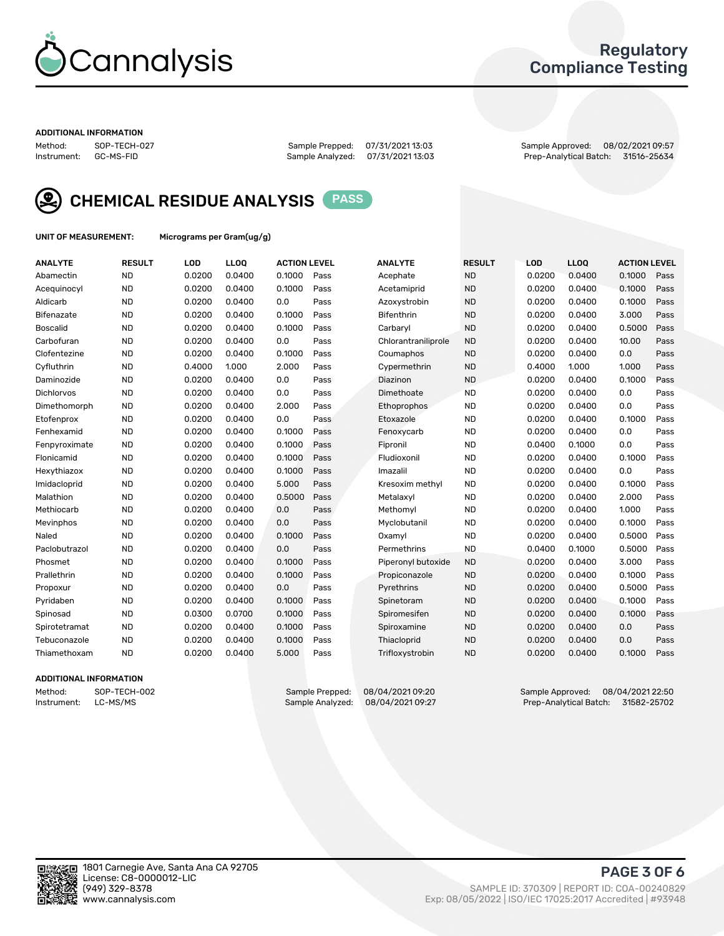

## Regulatory Compliance Testing

#### ADDITIONAL INFORMATION

Method: SOP-TECH-027 Sample Prepped: 07/31/2021 13:03 Sample Approved: 08/02/2021 09:57 Prep-Analytical Batch: 31516-25634



CHEMICAL RESIDUE ANALYSIS PASS

UNIT OF MEASUREMENT: Micrograms per Gram(ug/g)

| <b>ANALYTE</b>    | <b>RESULT</b> | LOD    | LL <sub>OO</sub> | <b>ACTION LEVEL</b> |      | <b>ANALYTE</b>      | <b>RESULT</b> | LOD    | <b>LLOQ</b> | <b>ACTION LEVEL</b> |      |
|-------------------|---------------|--------|------------------|---------------------|------|---------------------|---------------|--------|-------------|---------------------|------|
| Abamectin         | <b>ND</b>     | 0.0200 | 0.0400           | 0.1000              | Pass | Acephate            | <b>ND</b>     | 0.0200 | 0.0400      | 0.1000              | Pass |
| Acequinocyl       | <b>ND</b>     | 0.0200 | 0.0400           | 0.1000              | Pass | Acetamiprid         | <b>ND</b>     | 0.0200 | 0.0400      | 0.1000              | Pass |
| Aldicarb          | <b>ND</b>     | 0.0200 | 0.0400           | 0.0                 | Pass | Azoxystrobin        | <b>ND</b>     | 0.0200 | 0.0400      | 0.1000              | Pass |
| Bifenazate        | <b>ND</b>     | 0.0200 | 0.0400           | 0.1000              | Pass | <b>Bifenthrin</b>   | <b>ND</b>     | 0.0200 | 0.0400      | 3.000               | Pass |
| <b>Boscalid</b>   | <b>ND</b>     | 0.0200 | 0.0400           | 0.1000              | Pass | Carbaryl            | <b>ND</b>     | 0.0200 | 0.0400      | 0.5000              | Pass |
| Carbofuran        | <b>ND</b>     | 0.0200 | 0.0400           | 0.0                 | Pass | Chlorantraniliprole | <b>ND</b>     | 0.0200 | 0.0400      | 10.00               | Pass |
| Clofentezine      | <b>ND</b>     | 0.0200 | 0.0400           | 0.1000              | Pass | Coumaphos           | <b>ND</b>     | 0.0200 | 0.0400      | 0.0                 | Pass |
| Cyfluthrin        | <b>ND</b>     | 0.4000 | 1.000            | 2.000               | Pass | Cypermethrin        | <b>ND</b>     | 0.4000 | 1.000       | 1.000               | Pass |
| Daminozide        | <b>ND</b>     | 0.0200 | 0.0400           | 0.0                 | Pass | Diazinon            | <b>ND</b>     | 0.0200 | 0.0400      | 0.1000              | Pass |
| <b>Dichlorvos</b> | <b>ND</b>     | 0.0200 | 0.0400           | 0.0                 | Pass | Dimethoate          | <b>ND</b>     | 0.0200 | 0.0400      | 0.0                 | Pass |
| Dimethomorph      | <b>ND</b>     | 0.0200 | 0.0400           | 2.000               | Pass | <b>Ethoprophos</b>  | <b>ND</b>     | 0.0200 | 0.0400      | 0.0                 | Pass |
| Etofenprox        | <b>ND</b>     | 0.0200 | 0.0400           | 0.0                 | Pass | Etoxazole           | <b>ND</b>     | 0.0200 | 0.0400      | 0.1000              | Pass |
| Fenhexamid        | <b>ND</b>     | 0.0200 | 0.0400           | 0.1000              | Pass | Fenoxycarb          | <b>ND</b>     | 0.0200 | 0.0400      | 0.0                 | Pass |
| Fenpyroximate     | <b>ND</b>     | 0.0200 | 0.0400           | 0.1000              | Pass | Fipronil            | <b>ND</b>     | 0.0400 | 0.1000      | 0.0                 | Pass |
| Flonicamid        | <b>ND</b>     | 0.0200 | 0.0400           | 0.1000              | Pass | Fludioxonil         | <b>ND</b>     | 0.0200 | 0.0400      | 0.1000              | Pass |
| Hexythiazox       | <b>ND</b>     | 0.0200 | 0.0400           | 0.1000              | Pass | Imazalil            | <b>ND</b>     | 0.0200 | 0.0400      | 0.0                 | Pass |
| Imidacloprid      | <b>ND</b>     | 0.0200 | 0.0400           | 5.000               | Pass | Kresoxim methyl     | <b>ND</b>     | 0.0200 | 0.0400      | 0.1000              | Pass |
| Malathion         | <b>ND</b>     | 0.0200 | 0.0400           | 0.5000              | Pass | Metalaxyl           | <b>ND</b>     | 0.0200 | 0.0400      | 2.000               | Pass |
| Methiocarb        | <b>ND</b>     | 0.0200 | 0.0400           | 0.0                 | Pass | Methomyl            | <b>ND</b>     | 0.0200 | 0.0400      | 1.000               | Pass |
| Mevinphos         | <b>ND</b>     | 0.0200 | 0.0400           | 0.0                 | Pass | Myclobutanil        | <b>ND</b>     | 0.0200 | 0.0400      | 0.1000              | Pass |
| Naled             | <b>ND</b>     | 0.0200 | 0.0400           | 0.1000              | Pass | Oxamyl              | <b>ND</b>     | 0.0200 | 0.0400      | 0.5000              | Pass |
| Paclobutrazol     | <b>ND</b>     | 0.0200 | 0.0400           | 0.0                 | Pass | Permethrins         | <b>ND</b>     | 0.0400 | 0.1000      | 0.5000              | Pass |
| Phosmet           | <b>ND</b>     | 0.0200 | 0.0400           | 0.1000              | Pass | Piperonyl butoxide  | <b>ND</b>     | 0.0200 | 0.0400      | 3.000               | Pass |
| Prallethrin       | <b>ND</b>     | 0.0200 | 0.0400           | 0.1000              | Pass | Propiconazole       | <b>ND</b>     | 0.0200 | 0.0400      | 0.1000              | Pass |
| Propoxur          | <b>ND</b>     | 0.0200 | 0.0400           | 0.0                 | Pass | Pyrethrins          | <b>ND</b>     | 0.0200 | 0.0400      | 0.5000              | Pass |
| Pyridaben         | <b>ND</b>     | 0.0200 | 0.0400           | 0.1000              | Pass | Spinetoram          | <b>ND</b>     | 0.0200 | 0.0400      | 0.1000              | Pass |
| Spinosad          | <b>ND</b>     | 0.0300 | 0.0700           | 0.1000              | Pass | Spiromesifen        | <b>ND</b>     | 0.0200 | 0.0400      | 0.1000              | Pass |
| Spirotetramat     | <b>ND</b>     | 0.0200 | 0.0400           | 0.1000              | Pass | Spiroxamine         | <b>ND</b>     | 0.0200 | 0.0400      | 0.0                 | Pass |
| Tebuconazole      | <b>ND</b>     | 0.0200 | 0.0400           | 0.1000              | Pass | Thiacloprid         | <b>ND</b>     | 0.0200 | 0.0400      | 0.0                 | Pass |
| Thiamethoxam      | <b>ND</b>     | 0.0200 | 0.0400           | 5.000               | Pass | Trifloxystrobin     | <b>ND</b>     | 0.0200 | 0.0400      | 0.1000              | Pass |

#### ADDITIONAL INFORMATION

Method: SOP-TECH-002 Sample Prepped: 08/04/2021 09:20 Sample Approved: 08/04/2021 09:20<br>Instrument: LC-MS/MS Sample Analyzed: 08/04/2021 09:27 Prep-Analytical Batch: 31582-25702 Prep-Analytical Batch: 31582-25702

PAGE 3 OF 6

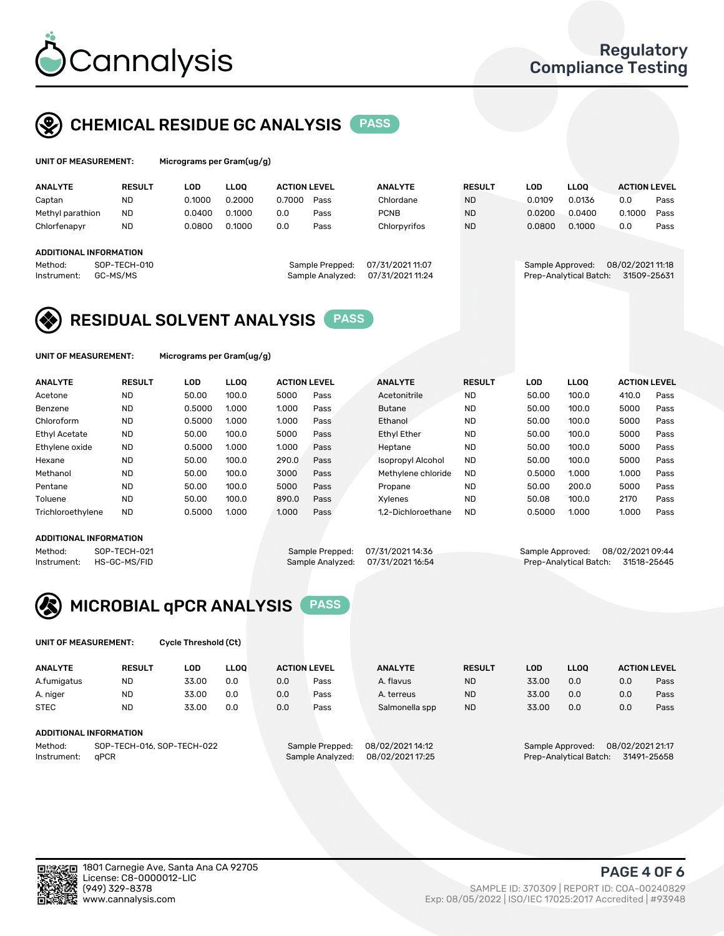

## CHEMICAL RESIDUE GC ANALYSIS PASS

| UNIT OF MEASUREMENT: |               |     | Micrograms per Gram(ug/g) |  |
|----------------------|---------------|-----|---------------------------|--|
| <b>ALLAIN/TE</b>     | <b>DEALLY</b> | ה ו |                           |  |

| <b>ANALYTE</b>                                   | <b>RESULT</b>            | <b>LOD</b> | <b>LLOO</b> | <b>ACTION LEVEL</b> |                                     | <b>ANALYTE</b>                       | <b>RESULT</b> | LOD    | <b>LLOO</b>                                | <b>ACTION LEVEL</b>             |      |
|--------------------------------------------------|--------------------------|------------|-------------|---------------------|-------------------------------------|--------------------------------------|---------------|--------|--------------------------------------------|---------------------------------|------|
| Captan                                           | ND                       | 0.1000     | 0.2000      | 0.7000              | Pass                                | Chlordane                            | <b>ND</b>     | 0.0109 | 0.0136                                     | 0.0                             | Pass |
| Methyl parathion                                 | <b>ND</b>                | 0.0400     | 0.1000      | 0.0                 | Pass                                | <b>PCNB</b>                          | <b>ND</b>     | 0.0200 | 0.0400                                     | 0.1000                          | Pass |
| Chlorfenapyr                                     | <b>ND</b>                | 0.0800     | 0.1000      | 0.0                 | Pass                                | Chlorpyrifos                         | <b>ND</b>     | 0.0800 | 0.1000                                     | 0.0                             | Pass |
| ADDITIONAL INFORMATION<br>Method:<br>Instrument: | SOP-TECH-010<br>GC-MS/MS |            |             |                     | Sample Prepped:<br>Sample Analyzed: | 07/31/2021 11:07<br>07/31/2021 11:24 |               |        | Sample Approved:<br>Prep-Analytical Batch: | 08/02/2021 11:18<br>31509-25631 |      |

## RESIDUAL SOLVENT ANALYSIS PASS

UNIT OF MEASUREMENT: Micrograms per Gram(ug/g)

| <b>ANALYTE</b>       | <b>RESULT</b> | <b>LOD</b> | <b>LLOO</b> | <b>ACTION LEVEL</b> |             | <b>ANALYTE</b>           | <b>RESULT</b> | LOD    | <b>LLOO</b> | <b>ACTION LEVEL</b> |      |
|----------------------|---------------|------------|-------------|---------------------|-------------|--------------------------|---------------|--------|-------------|---------------------|------|
| Acetone              | <b>ND</b>     | 50.00      | 100.0       | 5000                | Pass        | Acetonitrile             | <b>ND</b>     | 50.00  | 100.0       | 410.0               | Pass |
| Benzene              | <b>ND</b>     | 0.5000     | 1.000       | 1.000               | Pass        | <b>Butane</b>            | <b>ND</b>     | 50.00  | 100.0       | 5000                | Pass |
| Chloroform           | <b>ND</b>     | 0.5000     | 1.000       | 1.000               | Pass        | Ethanol                  | <b>ND</b>     | 50.00  | 100.0       | 5000                | Pass |
| <b>Ethyl Acetate</b> | <b>ND</b>     | 50.00      | 100.0       | 5000                | Pass        | <b>Ethyl Ether</b>       | <b>ND</b>     | 50.00  | 100.0       | 5000                | Pass |
| Ethylene oxide       | <b>ND</b>     | 0.5000     | 1.000       | 1.000               | Pass        | Heptane                  | <b>ND</b>     | 50.00  | 100.0       | 5000                | Pass |
| Hexane               | <b>ND</b>     | 50.00      | 100.0       | 290.0               | Pass        | <b>Isopropyl Alcohol</b> | <b>ND</b>     | 50.00  | 100.0       | 5000                | Pass |
| Methanol             | <b>ND</b>     | 50.00      | 100.0       | 3000                | Pass        | Methylene chloride       | <b>ND</b>     | 0.5000 | 1.000       | 1.000               | Pass |
| Pentane              | <b>ND</b>     | 50.00      | 100.0       | 5000                | Pass        | Propane                  | <b>ND</b>     | 50.00  | 200.0       | 5000                | Pass |
| Toluene              | <b>ND</b>     | 50.00      | 100.0       | 890.0               | Pass        | Xvlenes                  | <b>ND</b>     | 50.08  | 100.0       | 2170                | Pass |
| Trichloroethylene    | <b>ND</b>     | 0.5000     | 1.000       | 1.000               | <b>Pass</b> | 1.2-Dichloroethane       | <b>ND</b>     | 0.5000 | 1.000       | 1.000               | Pass |

#### ADDITIONAL INFORMATION

Method: SOP-TECH-021 Sample Prepped: 07/31/2021 14:36 Sample Approved: 08/02/2021 09:44<br>Instrument: HS-GC-MS/FID Sample Analyzed: 07/31/2021 16:54 Prep-Analytical Batch: 31518-25645 Prep-Analytical Batch: 31518-25645



UNIT OF MEASUREMENT: Cycle Threshold (Ct)

| <b>ANALYTE</b> | <b>RESULT</b>              | LOD   | <b>LLOO</b> |     | <b>ACTION LEVEL</b> | <b>ANALYTE</b>  | <b>RESULT</b> | <b>LOD</b> | <b>LLOO</b>      |                  | <b>ACTION LEVEL</b> |
|----------------|----------------------------|-------|-------------|-----|---------------------|-----------------|---------------|------------|------------------|------------------|---------------------|
| A.fumigatus    | ND                         | 33.00 | 0.0         | 0.0 | Pass                | A. flavus       | <b>ND</b>     | 33.00      | 0.0              | 0.0              | Pass                |
| A. niger       | <b>ND</b>                  | 33.00 | 0.0         | 0.0 | Pass                | A. terreus      | <b>ND</b>     | 33.00      | 0.0              | 0.0              | Pass                |
| <b>STEC</b>    | <b>ND</b>                  | 33.00 | 0.0         | 0.0 | Pass                | Salmonella spp  | <b>ND</b>     | 33.00      | 0.0              | 0.0              | Pass                |
|                | ADDITIONAL INFORMATION     |       |             |     |                     |                 |               |            |                  |                  |                     |
| Method:        | SOP-TECH-016, SOP-TECH-022 |       |             |     | Sample Prepped:     | 08/02/202114:12 |               |            | Sample Approved: | 08/02/2021 21:17 |                     |

Instrument: qPCR Sample Analyzed: 08/02/2021 17:25 Prep-Analytical Batch: 31491-25658

PAGE 4 OF 6

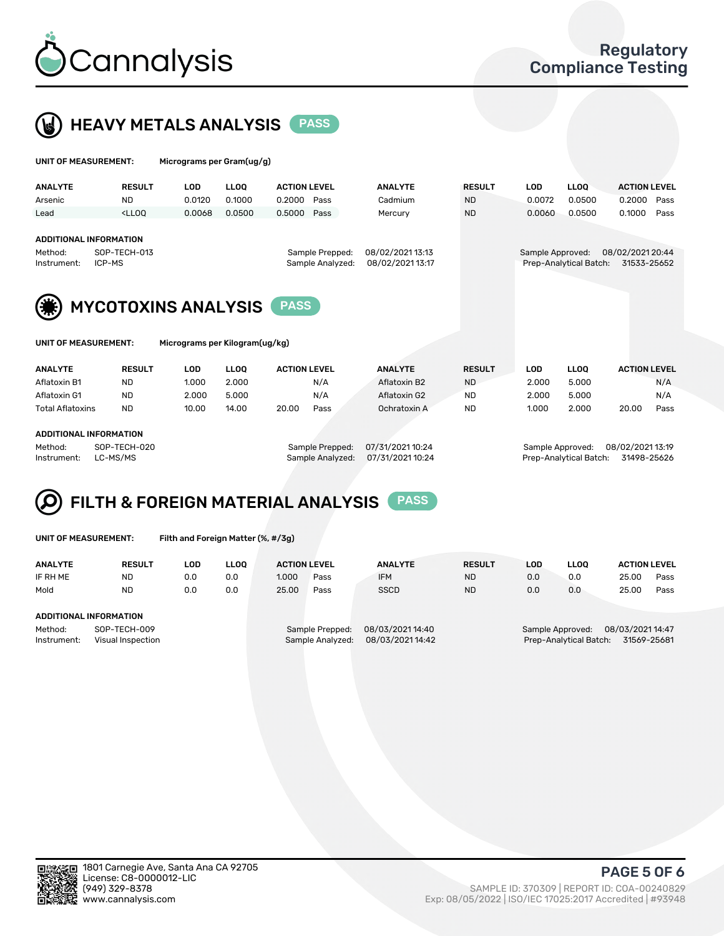



| UNIT OF MEASUREMENT:                     |                                           | Micrograms per Gram(ug/g)      |             |                     |                  |                  |               |                  |                        |                     |      |  |
|------------------------------------------|-------------------------------------------|--------------------------------|-------------|---------------------|------------------|------------------|---------------|------------------|------------------------|---------------------|------|--|
| <b>ANALYTE</b>                           | <b>RESULT</b>                             | <b>LOD</b>                     | <b>LLOO</b> | <b>ACTION LEVEL</b> |                  | <b>ANALYTE</b>   | <b>RESULT</b> | LOD              | <b>LLOQ</b>            | <b>ACTION LEVEL</b> |      |  |
| Arsenic                                  | <b>ND</b>                                 | 0.0120                         | 0.1000      | 0.2000              | Pass             | Cadmium          | <b>ND</b>     | 0.0072           | 0.0500                 | 0.2000              | Pass |  |
| Lead                                     | $<$ LLOO                                  | 0.0068                         | 0.0500      | 0.5000              | Pass             | Mercury          | <b>ND</b>     | 0.0060           | 0.0500                 | 0.1000              | Pass |  |
| <b>ADDITIONAL INFORMATION</b><br>Method: | SOP-TECH-013                              |                                |             |                     | Sample Prepped:  | 08/02/2021 13:13 |               | Sample Approved: |                        | 08/02/2021 20:44    |      |  |
| ICP-MS<br>Instrument:                    |                                           |                                |             |                     | Sample Analyzed: | 08/02/2021 13:17 |               |                  | Prep-Analytical Batch: | 31533-25652         |      |  |
|                                          | <b>MYCOTOXINS ANALYSIS</b><br><b>PASS</b> |                                |             |                     |                  |                  |               |                  |                        |                     |      |  |
| UNIT OF MEASUREMENT:                     |                                           | Micrograms per Kilogram(ug/kg) |             |                     |                  |                  |               |                  |                        |                     |      |  |
| <b>ANALYTE</b>                           | <b>RESULT</b>                             | <b>LOD</b>                     | <b>LLOO</b> | <b>ACTION LEVEL</b> |                  | <b>ANALYTE</b>   | <b>RESULT</b> | <b>LOD</b>       | <b>LLOQ</b>            | <b>ACTION LEVEL</b> |      |  |
| Aflatoxin B1                             | ND.                                       | 1.000                          | 2.000       |                     | N/A              | Aflatoxin B2     | <b>ND</b>     | 2.000            | 5.000                  |                     | N/A  |  |
| Aflatoxin G1                             | <b>ND</b>                                 | 2.000                          | 5.000       |                     | N/A              | Aflatoxin G2     | <b>ND</b>     | 2.000            | 5.000                  |                     | N/A  |  |
| <b>Total Aflatoxins</b>                  | <b>ND</b>                                 | 10.00                          | 14.00       | 20.00               | Pass             | Ochratoxin A     | <b>ND</b>     | 1.000            | 2.000                  | 20.00               | Pass |  |

#### ADDITIONAL INFORMATION

Method: SOP-TECH-020 Sample Prepped: 07/31/2021 10:24 Sample Approved: 08/02/2021 13:19 Instrument: LC-MS/MS Sample Analyzed: 07/31/2021 10:24 Prep-Analytical Batch: 31498-25626

# FILTH & FOREIGN MATERIAL ANALYSIS PASS

UNIT OF MEASUREMENT: Filth and Foreign Matter (%, #/3g)

| <b>ANALYTE</b>                                              | <b>RESULT</b> | LOD | <b>LLOO</b> | <b>ACTION LEVEL</b>                 |      | <b>ANALYTE</b>                      | <b>RESULT</b> | LOD                                                                        | <b>LLOO</b> | <b>ACTION LEVEL</b> |      |
|-------------------------------------------------------------|---------------|-----|-------------|-------------------------------------|------|-------------------------------------|---------------|----------------------------------------------------------------------------|-------------|---------------------|------|
| IF RH ME                                                    | <b>ND</b>     | 0.0 | 0.0         | 1.000                               | Pass | <b>IFM</b>                          | <b>ND</b>     | 0.0                                                                        | 0.0         | 25.00               | Pass |
| Mold                                                        | <b>ND</b>     | 0.0 | 0.0         | 25.00                               | Pass | <b>SSCD</b>                         | <b>ND</b>     | 0.0                                                                        | 0.0         | 25.00               | Pass |
| ADDITIONAL INFORMATION                                      |               |     |             |                                     |      |                                     |               |                                                                            |             |                     |      |
| Method:<br>SOP-TECH-009<br>Instrument:<br>Visual Inspection |               |     |             | Sample Prepped:<br>Sample Analyzed: |      | 08/03/2021 14:40<br>08/03/202114:42 |               | 08/03/2021 14:47<br>Sample Approved:<br>Prep-Analytical Batch: 31569-25681 |             |                     |      |